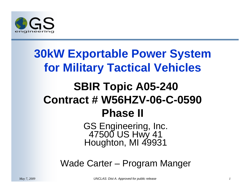

# **30kW Exportable Power System for Military Tactical Vehicles SBIR Topic A05-240 Contract # W56HZV-06-C-0590 Phase II**

GS Engineering, Inc. 47500 US Hwy 41 Houghton, MI 49931

Wade Carter – Program Manger

*May 7, 2009 UNCLAS: Dist A. Approved for public release 1*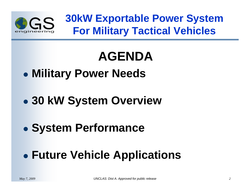

**30kW Exportable Power System For Military Tactical Vehicles**

# **AGENDA**

- $\bullet$ **Military Power Needs**
- $\bullet$ **30 kW System Overview**
- $\bullet$ **System Performance**

#### $\bullet$ **Future Vehicle Applications**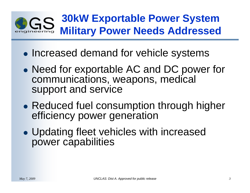#### **30kW Exportable Power System**   $GS$ **Military Power Needs Addressed**

- $\bullet$ • Increased demand for vehicle systems
- $\bullet$ • Need for exportable AC and DC power for communications, weapons, medical support and service
- $\bullet$ • Reduced fuel consumption through higher efficiency power generation
- $\bullet$  Updating fleet vehicles with increased power capabilities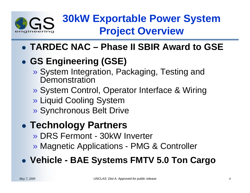

## **30kW Exportable Power System Project Overview**

**TARDEC NAC – Phase II SBIR Award to GSE**

### **GS Engineering (GSE)**

- » System Integration, Packaging, Testing and **Demonstration**
- » System Control, Operator Interface & Wiring
- » Liquid Cooling System
- » Synchronous Belt Drive

#### $\bullet$ **Technology Partners**

- » DRS Fermont 30kW Inverter
- » Magnetic Applications PMG & Controller

### **Vehicle - BAE Systems FMTV 5.0 Ton Cargo**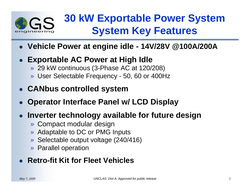

### **30 kW Exportable Power System System Key Features**

- **Vehicle Power at engine idle 14V/28V @100A/200A**
- **Exportable AC Power at High Idle**
	- » 29 kW continuous (3-Phase AC at 120/208)
	- » User Selectable Frequency 50, 60 or 400Hz
- **CANbus controlled system**
- $\bullet$ **Operator Interface Panel w/ LCD Display**

### **Inverter technology available for future design**

- » Compact modular design
- » Adaptable to DC or PMG Inputs
- » Selectable output voltage (240/416)
- » Parallel operation

### **• Retro-fit Kit for Fleet Vehicles**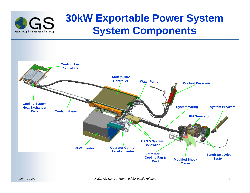

### **30kW Exportable Power System System Components**

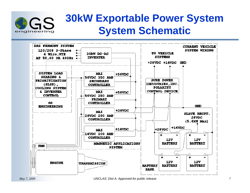

### **30kW Exportable Power System System Schematic**

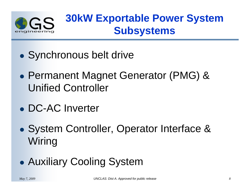

### **30kW Exportable Power System Subsystems**

- $\bullet$ Synchronous belt drive
- $\bullet$  Permanent Magnet Generator (PMG) & Unified Controller
- DC-AC Inverter
- $\bullet$  System Controller, Operator Interface & Wiring
- $\bullet$ Auxiliary Cooling System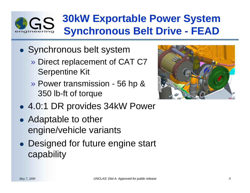## **30kW Exportable Power System Synchronous Belt Drive - FEAD**

- Synchronous belt system
	- » Direct replacement of CAT C7 Serpentine Kit
	- » Power transmission 56 hp & 350 lb-ft of torque



- 4.0:1 DR provides 34kW Power
- Adaptable to other engine/vehicle variants
- Designed for future engine start capability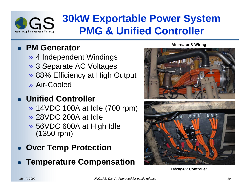

### **30kW Exportable Power System PMG & Unified Controller**

### **PM Generator**

- » 4 Independent Windings
- » 3 Separate AC Voltages
- » 88% Efficiency at High Output
- » Air-Cooled

### **Unified Controller**

- » 14VDC 100A at Idle (700 rpm)
- » 28VDC 200A at Idle
- » 56VDC 600A at High Idle (1350 rpm)
- **Over Temp Protection**
- **Temperature Compensation**

**Alternator & Wiring**



**14/28/56V Controller**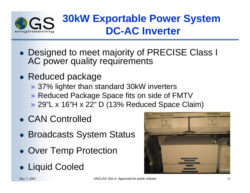

### **30kW Exportable Power System DC-AC Inverter**

- Designed to meet majority of PRECISE Class I AC power quality requirements
- Reduced package
	- » 37% lighter than standard 30kW inverters
	- » Reduced Package Space fits on side of FMTV
	- » 29"L x 16"H x 22" D (13% Reduced Space Claim)
- CAN Controlled
- Broadcasts System Status
- **Over Temp Protection**
- Liquid Cooled

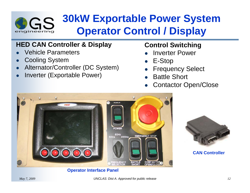

### **30kW Exportable Power System Operator Control / Display**

#### **HED CAN Controller & Display**

- $\bullet$ Vehicle Parameters
- $\bullet$ Cooling System
- $\bullet$ Alternator/Controller (DC System)
- $\bullet$ Inverter (Exportable Power)

#### **Control Switching**

- $\bullet$ Inverter Power
- $\bullet$ E-Stop
- $\bullet$ Frequency Select
- $\bullet$ Battle Short
- $\bullet$ Contactor Open/Close



#### **Operator Interface Panel**



#### **CAN Controller**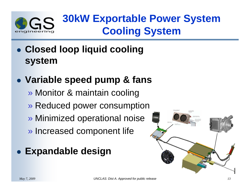

## **30kW Exportable Power System Cooling System**

 **Closed loop liquid cooling system**

### **Variable speed pump & fans**

- » Monitor & maintain cooling
- » Reduced power consumption
- » Minimized operational noise
- » Increased component life

### **Expandable design**

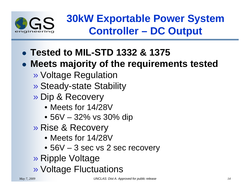

**30kW Exportable Power System Controller – DC Output**

**Tested to MIL-STD 1332 & 1375** 

### **Meets majority of the requirements tested**

- » Voltage Regulation
- » Steady-state Stability
- » Dip & Recovery
	- Meets for 14/28V
	- 56V 32% vs 30% dip
- » Rise & Recovery
	- Meets for 14/28V
	- 56V 3 sec vs 2 sec recovery
- » Ripple Voltage
- » Voltage Fluctuations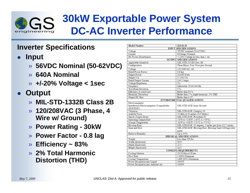

### **30kW Exportable Power System DC-AC Inverter Performance**

#### **Inverter Specifications**

- $\bullet$  **Input**
	- » **56VDC Nominal (50-62VDC)**
	- » **640A Nominal**
	- » **+/-20% Voltage < 1sec**
- $\bullet$  **Output**
	- » **MIL-STD-1332B Class 2B**
	- » **120/208VAC (3 Phase, 4 Wire w/ Ground)**
	- » **Power Rating 30kW**
	- » **Power Factor 0.8 lag**
	- » **Efficiency ~ 83%**
	- » **2% Total Harmonic Distortion (THD)**

| <b>Model Number</b><br>318-01-01                                           |                                                          |  |  |  |  |
|----------------------------------------------------------------------------|----------------------------------------------------------|--|--|--|--|
|                                                                            | <b>INPUT SPECIFICATIONS</b>                              |  |  |  |  |
| Voltage                                                                    | 56VDC nominal (50-62VDC)                                 |  |  |  |  |
| Current                                                                    | 640Amps Nominal                                          |  |  |  |  |
| DC Power Disturbances                                                      | +/-20% Voltage for less than 1 sec                       |  |  |  |  |
|                                                                            | <b>OUTPUT SPECIFICATIONS</b>                             |  |  |  |  |
| Applicable Standards                                                       | MIL-STD-1332B Class 2B                                   |  |  |  |  |
| Configuration                                                              | Three Phase, Four Wire plus Ground                       |  |  |  |  |
| Voltage                                                                    | 120/208VAC. 30                                           |  |  |  |  |
| Rated Power Factor                                                         | $0.8$ lag                                                |  |  |  |  |
| Output Power                                                               | 30.000 Watts                                             |  |  |  |  |
| Output VA                                                                  | 37.500 VA                                                |  |  |  |  |
| Rated Output Current                                                       | 104.2 Amps                                               |  |  |  |  |
| Voltage Regulation                                                         | $1\%$                                                    |  |  |  |  |
| Frequency                                                                  | Selectable: 50/60/400 Hz                                 |  |  |  |  |
| Waveform Deviation                                                         | 5%                                                       |  |  |  |  |
| Efficiency at rated load                                                   | Better than 83 %                                         |  |  |  |  |
| Harmonic Distortion                                                        | Better than 2 % single harmonic, 2% THD                  |  |  |  |  |
| Output DC Bias                                                             | Better than 0.1V                                         |  |  |  |  |
|                                                                            | ENVIRONMENTAL QUALIFICATIONS                             |  |  |  |  |
| Electromagnetic<br>Interference/Electromagnetic Compatibility<br>(EMI/EMC) | MIL-STD-461E Army Ground                                 |  |  |  |  |
| Vibration                                                                  | MIL-STD-810F, Category 10                                |  |  |  |  |
| Audible Noise                                                              | 70 dBA at 36 inches (0.9 Meters)                         |  |  |  |  |
| Shock (Transit Drop)                                                       | MIL-STD-810F, Procedure IV                               |  |  |  |  |
| Operating Temperature                                                      | -50°F to +138°F (-45°C to +59°C)                         |  |  |  |  |
| Storage Temperature                                                        | -60°F to +160°F (-51°C to +71°C)                         |  |  |  |  |
| Blowing Rain                                                               | MIL-STD-810F, 45 degrees, 5 inches per hour (12.7 cm/hr) |  |  |  |  |
| Sand and Dust                                                              | MIL-STD-810F, Blowing Dust, Blowing Sand 1400mg/cubic    |  |  |  |  |
|                                                                            | meter                                                    |  |  |  |  |
| Relative Humidity                                                          | Up to 95%                                                |  |  |  |  |
|                                                                            | PHYSICAL SPECIFICATIONS                                  |  |  |  |  |
| Weight                                                                     | Less than 200 lbs                                        |  |  |  |  |
| Width (Enclosure)                                                          | 29.0"                                                    |  |  |  |  |
| Depth (Enclosure)                                                          | 22.1"                                                    |  |  |  |  |
| Height (Enclosure)                                                         | 16.1"                                                    |  |  |  |  |
|                                                                            | <b>COOLING REQUIREMENTS</b>                              |  |  |  |  |
| Cooling Mixture                                                            | 50/50 Glycol-Water                                       |  |  |  |  |
| Flow Rate                                                                  | 3 GPM Minimum                                            |  |  |  |  |
| Coolant Temperature                                                        | 149F (65C) Maximum                                       |  |  |  |  |
| Power Dissipation into Liquid                                              | 4000W                                                    |  |  |  |  |
| Power Dissipation into Ambient Air                                         | 1000W                                                    |  |  |  |  |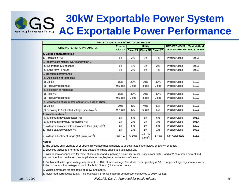# **30kW Exportable Power System AC Exportable Power Performance**

| <b>MIL-STD-705 AC Waveform Testing Results</b>                         |                    |           |                                   |                 |                      |                    |  |  |
|------------------------------------------------------------------------|--------------------|-----------|-----------------------------------|-----------------|----------------------|--------------------|--|--|
| <b>CHARACTERISTIC PARAMETER</b>                                        | <b>Precise</b>     |           | <b>Utility</b>                    |                 | <b>DRS FERMONT</b>   | <b>Test Method</b> |  |  |
|                                                                        | <b>Class I</b>     |           | <b>Class 2A Class 2B</b>          | <b>Class 2C</b> | <b>30KW INVERTER</b> | <b>MIL-STD-705</b> |  |  |
| a. Voltage characteristics                                             |                    |           |                                   |                 |                      |                    |  |  |
| 1. Regulation (%)                                                      | 1%                 | 2%        | 3%                                | 4%              | Precise Class I      | 608.1              |  |  |
| 2. Steady-state stability (var./bandwidth %)                           |                    |           |                                   |                 |                      |                    |  |  |
| (a.) Short term (30 seconds)                                           | 1%                 | 1%        | 2%                                | 2%              | Precise Class I      | 608.1              |  |  |
| (b.) Long term (4 hours)                                               | 2%                 | 2%        | 4%                                | 4%              | Precise Class I      | 608.2              |  |  |
| 3. Transient performance                                               |                    |           |                                   |                 |                      |                    |  |  |
| (a.) Application of rated load                                         |                    |           |                                   |                 |                      |                    |  |  |
| $(1)$ Dip $(\%)$                                                       | 15%                | 20%       | 20%                               | 30%             | Precise Class I      | 619.2              |  |  |
| (2) Recovery (seconds)                                                 | 0.5 <sub>sec</sub> | 3 sec     | 3 sec                             | 3 sec           | Precise Class I      | 619.2              |  |  |
| (b.) Rejection of rated load                                           |                    |           |                                   |                 |                      |                    |  |  |
| $(1)$ Rise $(\%)$                                                      | 15%                | 30%       | 30%                               | 30%             | Precise Class I      | 619.2              |  |  |
| (2) Recovery (seconds)                                                 | 0.5 <sub>sec</sub> | 3 sec     | 3 sec                             | 3 sec           | Precise Class I      | 619.2              |  |  |
| (c.) Application of sim motor load (200% current) (Note <sup>6</sup> ) |                    |           |                                   |                 |                      |                    |  |  |
| $(1)$ Dip $(% )$                                                       | 30%                | <b>NA</b> | 40%                               | <b>NA</b>       | Precise Class I      | 619.1              |  |  |
| (2) Recovery to 95% rated voltage (sec)( $Note1$ )                     | 0.7 <sub>sec</sub> | <b>NA</b> | 5 sec                             | <b>NA</b>       | Precise Class I      | 619.1              |  |  |
| 4. Waveform (Note <sup>2</sup> )                                       |                    |           |                                   |                 |                      |                    |  |  |
| (a.) Maximum deviation factor (%)                                      | 5%                 | 5%        | 5%                                | 6%              | Precise Class I      | 601.1              |  |  |
| (b.) Maximum individual harmonics (%)                                  | 2%                 | 2%        | 2%                                | 3%              | Precise Class I      | 601.4              |  |  |
| 5. Voltage unbalance with unbalanced load (%)(Note <sup>3</sup> )      | 5%                 | 5%        | 5%                                | 5%              | Precise Class I      | 620.2              |  |  |
| 6. Phase balance voltage (%)                                           | 1%                 | 1%        | 1%                                | 1%              | Precise Class I      | 508.1              |  |  |
| 7. Voltage adjustment range $(\%)$ (min)(Note <sup>4</sup> )           | $-5% +17$          | $+/-10%$  | $-5% +17$<br>(Note <sup>5</sup> ) | $-5 + 5%$       | Not Adjustable       | 511.1              |  |  |

**Notes:**

1. The voltage shall stabilize at or above this voltage (not applicable to all sets rated 5 k or below, or 500kW or larger.

2. Specified values are for three-phase output; for single phase add additional 1%.

3. With generator connected for three-phase output and supplying a single line-to-line, unity power factor, load of 25% of rated current and with no other load on the set. (Not applicable for single-phase connections of sets.)

4. For Mode II sets, upper voltage adjustment is +10% of rated voltage. For Mode I sets operating at 50 Hz, upper voltage adjustment may be limited to the nominal voltages show in Table IV, Note 4. (Not included here.)

5. Values shown are for sets rated at 15kW and above.

6. Motor load current was 124%. The load was a 5 hp two stage air compressor connected to 208V (L1-L2).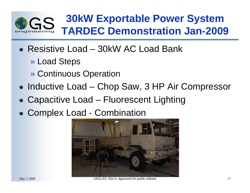

### **30kW Exportable Power System TARDEC Demonstration Jan-2009**

- Resistive Load 30kW AC Load Bank
	- » Load Steps
	- » Continuous Operation
- Inductive Load Chop Saw, 3 HP Air Compressor
- Capacitive Load Fluorescent Lighting
- Complex Load Combination

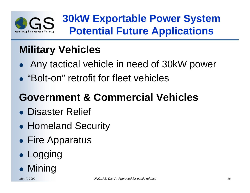

### **30kW Exportable Power System Potential Future Applications**

## **Military Vehicles**

- $\bullet$ Any tactical vehicle in need of 30kW power
- "Bolt-on" retrofit for fleet vehicles

# **Government & Commercial Vehicles**

- Disaster Relief
- $\bullet$ • Homeland Security
- **Fire Apparatus**
- $\bullet$ **• Logging**
- $\bullet$ • Mining